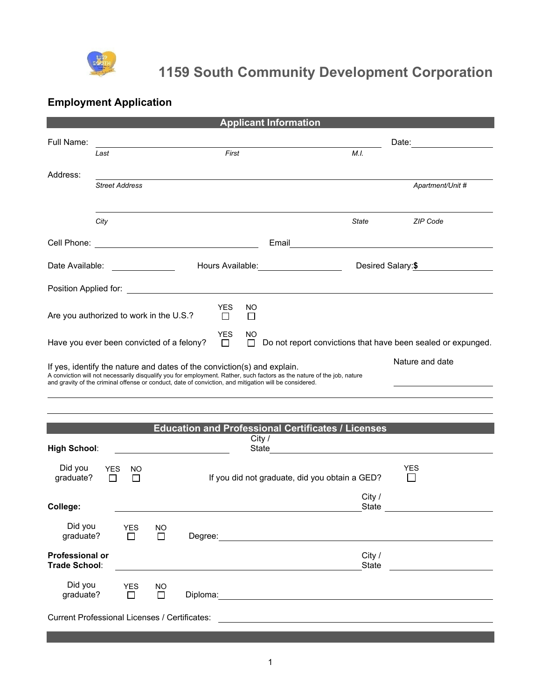

# **1159 South Community Development Corporation**

## **Employment Application**

|                                                                                                                                                                                                                                                                                                                                |                       |                      |                     |         |                      |                 | <b>Applicant Information</b>                                     |                        |                                                              |
|--------------------------------------------------------------------------------------------------------------------------------------------------------------------------------------------------------------------------------------------------------------------------------------------------------------------------------|-----------------------|----------------------|---------------------|---------|----------------------|-----------------|------------------------------------------------------------------|------------------------|--------------------------------------------------------------|
| Full Name:                                                                                                                                                                                                                                                                                                                     | Last                  |                      |                     |         | First                |                 |                                                                  | M.I.                   |                                                              |
| Address:                                                                                                                                                                                                                                                                                                                       | <b>Street Address</b> |                      |                     |         |                      |                 |                                                                  |                        | Apartment/Unit #                                             |
|                                                                                                                                                                                                                                                                                                                                | City                  |                      |                     |         |                      |                 |                                                                  | <b>State</b>           | <b>ZIP Code</b>                                              |
| Cell Phone: <u>_________________________________</u>                                                                                                                                                                                                                                                                           |                       |                      |                     |         |                      |                 | Email <u>________________________</u>                            |                        |                                                              |
| Date Available:                                                                                                                                                                                                                                                                                                                |                       |                      |                     |         |                      |                 | Hours Available: Management Controller and Management Controller | Desired Salary:\$      |                                                              |
|                                                                                                                                                                                                                                                                                                                                |                       |                      |                     |         |                      |                 |                                                                  |                        |                                                              |
| Are you authorized to work in the U.S.?                                                                                                                                                                                                                                                                                        |                       |                      |                     |         | <b>YES</b><br>$\Box$ | NO              |                                                                  |                        |                                                              |
| YES<br>NO<br>Have you ever been convicted of a felony?<br>$\Box$<br>$\Box$                                                                                                                                                                                                                                                     |                       |                      |                     |         |                      |                 |                                                                  |                        | Do not report convictions that have been sealed or expunged. |
| Nature and date<br>If yes, identify the nature and dates of the conviction(s) and explain.<br>A conviction will not necessarily disqualify you for employment. Rather, such factors as the nature of the job, nature<br>and gravity of the criminal offense or conduct, date of conviction, and mitigation will be considered. |                       |                      |                     |         |                      |                 |                                                                  |                        |                                                              |
|                                                                                                                                                                                                                                                                                                                                |                       |                      |                     |         |                      |                 | <b>Education and Professional Certificates / Licenses</b>        |                        |                                                              |
| <b>High School:</b>                                                                                                                                                                                                                                                                                                            |                       |                      |                     |         |                      | City /<br>State |                                                                  |                        |                                                              |
| Did you<br>graduate?                                                                                                                                                                                                                                                                                                           | YES<br>$\Box$         | NO.<br>$\Box$        |                     |         |                      |                 | If you did not graduate, did you obtain a GED?                   |                        | YES                                                          |
| College:                                                                                                                                                                                                                                                                                                                       |                       |                      |                     |         |                      |                 |                                                                  | City /<br><b>State</b> |                                                              |
| Did you<br>graduate?                                                                                                                                                                                                                                                                                                           |                       | <b>YES</b><br>$\Box$ | <b>NO</b><br>$\Box$ | Degree: |                      |                 |                                                                  |                        |                                                              |
| <b>Professional or</b><br>Trade School:                                                                                                                                                                                                                                                                                        |                       |                      |                     |         |                      |                 |                                                                  | City /<br>State        |                                                              |
| Did you<br>graduate?                                                                                                                                                                                                                                                                                                           |                       | <b>YES</b><br>$\Box$ | <b>NO</b><br>П      |         |                      |                 |                                                                  |                        |                                                              |
| <b>Current Professional Licenses / Certificates:</b>                                                                                                                                                                                                                                                                           |                       |                      |                     |         |                      |                 |                                                                  |                        |                                                              |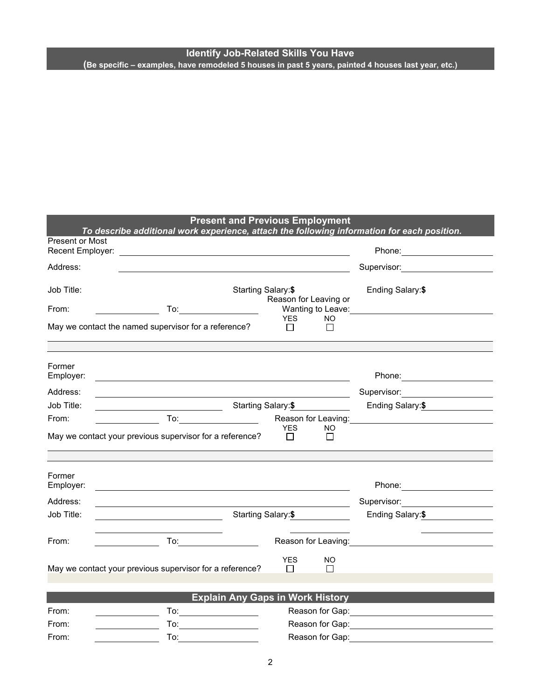#### **Identify Job-Related Skills You Have (Be specific – examples, have remodeled 5 houses in past 5 years, painted 4 houses last year, etc.)**

### **Present and Previous Employment**

|                                                                                                                                                                                                                                                                |                                                                                                                                                                                                                               |                                                                                                                                                                                                                                     |                                                 |                          | To describe additional work experience, attach the following information for each position.                                                                                                                                         |  |
|----------------------------------------------------------------------------------------------------------------------------------------------------------------------------------------------------------------------------------------------------------------|-------------------------------------------------------------------------------------------------------------------------------------------------------------------------------------------------------------------------------|-------------------------------------------------------------------------------------------------------------------------------------------------------------------------------------------------------------------------------------|-------------------------------------------------|--------------------------|-------------------------------------------------------------------------------------------------------------------------------------------------------------------------------------------------------------------------------------|--|
| <b>Present or Most</b><br>Recent Employer: <u>Product of the Contract of the Contract of the Contract of the Contract of the Contract of the Contract of the Contract of the Contract of the Contract of the Contract of the Contract of the Contract of t</u> | Phone: _______________________                                                                                                                                                                                                |                                                                                                                                                                                                                                     |                                                 |                          |                                                                                                                                                                                                                                     |  |
| Address:                                                                                                                                                                                                                                                       |                                                                                                                                                                                                                               |                                                                                                                                                                                                                                     |                                                 |                          | Supervisor: 2000                                                                                                                                                                                                                    |  |
| Job Title:                                                                                                                                                                                                                                                     |                                                                                                                                                                                                                               | Starting Salary: \$                                                                                                                                                                                                                 | Reason for Leaving or                           |                          | Ending Salary:\$                                                                                                                                                                                                                    |  |
| From:                                                                                                                                                                                                                                                          |                                                                                                                                                                                                                               | To:_____________________                                                                                                                                                                                                            |                                                 |                          | Wanting to Leave: Wanting to Leave:                                                                                                                                                                                                 |  |
| May we contact the named supervisor for a reference?                                                                                                                                                                                                           |                                                                                                                                                                                                                               |                                                                                                                                                                                                                                     | <b>YES</b><br>$\Box$                            | NO.<br>$\Box$            |                                                                                                                                                                                                                                     |  |
|                                                                                                                                                                                                                                                                |                                                                                                                                                                                                                               |                                                                                                                                                                                                                                     |                                                 |                          |                                                                                                                                                                                                                                     |  |
| Former<br>Employer:                                                                                                                                                                                                                                            | <u> 1989 - Johann Stoff, deutscher Stoffen und der Stoffen und der Stoffen und der Stoffen und der Stoffen und der</u>                                                                                                        |                                                                                                                                                                                                                                     |                                                 |                          |                                                                                                                                                                                                                                     |  |
| Address:                                                                                                                                                                                                                                                       |                                                                                                                                                                                                                               |                                                                                                                                                                                                                                     |                                                 |                          | Supervisor: Victor Communication Communication                                                                                                                                                                                      |  |
| Job Title:                                                                                                                                                                                                                                                     | <u> 1989 - Johann Barnett, fransk politiker (</u>                                                                                                                                                                             |                                                                                                                                                                                                                                     | Starting Salary: \$                             |                          | Ending Salary: \$                                                                                                                                                                                                                   |  |
| From:                                                                                                                                                                                                                                                          |                                                                                                                                                                                                                               |                                                                                                                                                                                                                                     |                                                 |                          |                                                                                                                                                                                                                                     |  |
| May we contact your previous supervisor for a reference?                                                                                                                                                                                                       |                                                                                                                                                                                                                               |                                                                                                                                                                                                                                     | <b>YES</b><br>$\Box$                            | NO.<br>$\Box$            |                                                                                                                                                                                                                                     |  |
| Former                                                                                                                                                                                                                                                         |                                                                                                                                                                                                                               |                                                                                                                                                                                                                                     |                                                 |                          |                                                                                                                                                                                                                                     |  |
| Employer:                                                                                                                                                                                                                                                      | the control of the control of the control of the control of the control of the control of the control of the control of the control of the control of the control of the control of the control of the control of the control |                                                                                                                                                                                                                                     |                                                 |                          |                                                                                                                                                                                                                                     |  |
| Address:                                                                                                                                                                                                                                                       |                                                                                                                                                                                                                               |                                                                                                                                                                                                                                     |                                                 | $\overline{\phantom{a}}$ | Supervisor: 2000                                                                                                                                                                                                                    |  |
| Job Title:                                                                                                                                                                                                                                                     | <u> 1980 - Johann Barnett, fransk politik (</u>                                                                                                                                                                               |                                                                                                                                                                                                                                     | Starting Salary: \$                             |                          | Ending Salary:\$                                                                                                                                                                                                                    |  |
| From:                                                                                                                                                                                                                                                          |                                                                                                                                                                                                                               | <b>To:</b> the contract of the contract of the contract of the contract of the contract of the contract of the contract of the contract of the contract of the contract of the contract of the contract of the contract of the cont |                                                 |                          | Reason for Leaving: <b>Example 20</b> and the set of the set of the set of the set of the set of the set of the set of the set of the set of the set of the set of the set of the set of the set of the set of the set of the set o |  |
| May we contact your previous supervisor for a reference?                                                                                                                                                                                                       |                                                                                                                                                                                                                               |                                                                                                                                                                                                                                     | <b>YES</b><br>$\Box$                            | NO.<br>$\Box$            |                                                                                                                                                                                                                                     |  |
|                                                                                                                                                                                                                                                                |                                                                                                                                                                                                                               | <b>Explain Any Gaps in Work History</b>                                                                                                                                                                                             |                                                 |                          |                                                                                                                                                                                                                                     |  |
| From:                                                                                                                                                                                                                                                          |                                                                                                                                                                                                                               |                                                                                                                                                                                                                                     |                                                 |                          | Reason for Gap: <u>__________________________</u>                                                                                                                                                                                   |  |
| From:                                                                                                                                                                                                                                                          |                                                                                                                                                                                                                               |                                                                                                                                                                                                                                     | Reason for Gap: <u>________________________</u> |                          |                                                                                                                                                                                                                                     |  |
| From:                                                                                                                                                                                                                                                          | To:                                                                                                                                                                                                                           | Reason for Gap:                                                                                                                                                                                                                     |                                                 |                          |                                                                                                                                                                                                                                     |  |